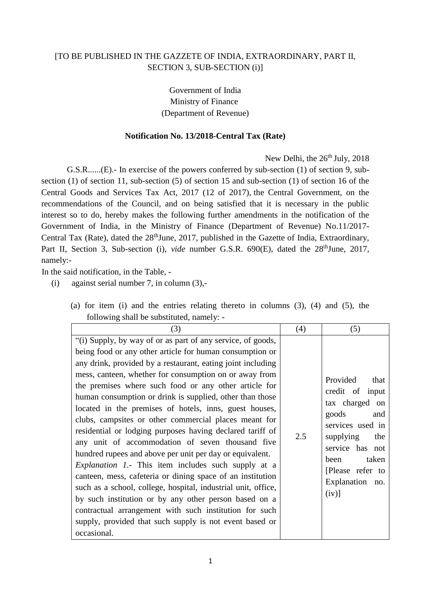## [TO BE PUBLISHED IN THE GAZZETE OF INDIA, EXTRAORDINARY, PART II, SECTION 3, SUB-SECTION (i)]

Government of India Ministry of Finance (Department of Revenue)

## **Notification No. 13/2018-Central Tax (Rate)**

New Delhi, the 26<sup>th</sup> July, 2018

G.S.R......(E).- In exercise of the powers conferred by sub-section (1) of section 9, subsection (1) of section 11, sub-section (5) of section 15 and sub-section (1) of section 16 of the Central Goods and Services Tax Act, 2017 (12 of 2017), the Central Government, on the recommendations of the Council, and on being satisfied that it is necessary in the public interest so to do, hereby makes the following further amendments in the notification of the Government of India, in the Ministry of Finance (Department of Revenue) No.11/2017- Central Tax (Rate), dated the 28<sup>th</sup>June, 2017, published in the Gazette of India, Extraordinary, Part II, Section 3, Sub-section (i), *vide* number G.S.R. 690(E), dated the 28<sup>th</sup>June, 2017, namely:-

In the said notification, in the Table, -

(i) against serial number 7, in column (3),-

| (3)                                                                                                                                                                                                                                                                                                                                                                                                                                                                                                                                                                                                                                                                                                                                                                                                                                                                                                                                                                                                                                                              | (4) | (5)                                                                                                                                                                                                  |
|------------------------------------------------------------------------------------------------------------------------------------------------------------------------------------------------------------------------------------------------------------------------------------------------------------------------------------------------------------------------------------------------------------------------------------------------------------------------------------------------------------------------------------------------------------------------------------------------------------------------------------------------------------------------------------------------------------------------------------------------------------------------------------------------------------------------------------------------------------------------------------------------------------------------------------------------------------------------------------------------------------------------------------------------------------------|-----|------------------------------------------------------------------------------------------------------------------------------------------------------------------------------------------------------|
| "(i) Supply, by way of or as part of any service, of goods,<br>being food or any other article for human consumption or<br>any drink, provided by a restaurant, eating joint including<br>mess, canteen, whether for consumption on or away from<br>the premises where such food or any other article for<br>human consumption or drink is supplied, other than those<br>located in the premises of hotels, inns, guest houses,<br>clubs, campsites or other commercial places meant for<br>residential or lodging purposes having declared tariff of<br>any unit of accommodation of seven thousand five<br>hundred rupees and above per unit per day or equivalent.<br><i>Explanation 1.</i> - This item includes such supply at a<br>canteen, mess, cafeteria or dining space of an institution<br>such as a school, college, hospital, industrial unit, office,<br>by such institution or by any other person based on a<br>contractual arrangement with such institution for such<br>supply, provided that such supply is not event based or<br>occasional. | 2.5 | Provided<br>that<br>credit of input<br>tax charged on<br>goods<br>and<br>services used in<br>supplying<br>the<br>service has not<br>taken<br>been<br>[Please refer to<br>Explanation no.<br>$(iv)$ ] |

(a) for item (i) and the entries relating thereto in columns (3), (4) and (5), the following shall be substituted, namely: -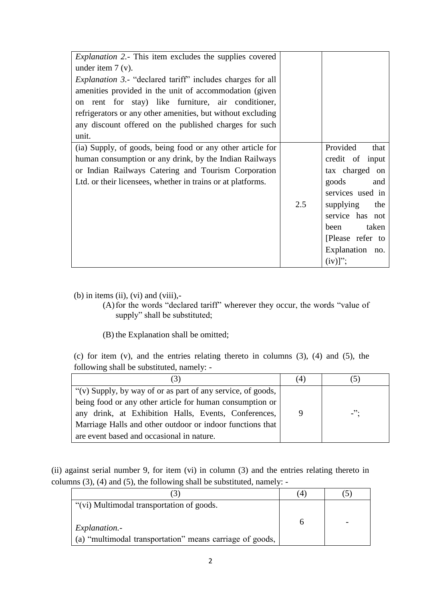| <i>Explanation 2.</i> - This item excludes the supplies covered<br>under item $7(v)$ .<br><i>Explanation 3.</i> - "declared tariff" includes charges for all<br>amenities provided in the unit of accommodation (given<br>on rent for stay) like furniture, air conditioner,<br>refrigerators or any other amenities, but without excluding<br>any discount offered on the published charges for such<br>unit. |     |                                                                                                                                                                                                        |
|----------------------------------------------------------------------------------------------------------------------------------------------------------------------------------------------------------------------------------------------------------------------------------------------------------------------------------------------------------------------------------------------------------------|-----|--------------------------------------------------------------------------------------------------------------------------------------------------------------------------------------------------------|
| (ia) Supply, of goods, being food or any other article for<br>human consumption or any drink, by the Indian Railways<br>or Indian Railways Catering and Tourism Corporation<br>Ltd. or their licensees, whether in trains or at platforms.                                                                                                                                                                     | 2.5 | Provided<br>that<br>credit of input<br>tax charged on<br>goods<br>and<br>services used in<br>supplying<br>the<br>service has not<br>taken<br>been<br>[Please refer to<br>Explanation no.<br>$(iv)$ ]"; |

(b) in items (ii), (vi) and (viii),-

(A)for the words "declared tariff" wherever they occur, the words "value of supply" shall be substituted;

(B) the Explanation shall be omitted;

(c) for item (v), and the entries relating thereto in columns (3), (4) and (5), the following shall be substituted, namely: -

| (3)                                                         | (4) |        |
|-------------------------------------------------------------|-----|--------|
| "(v) Supply, by way of or as part of any service, of goods, |     |        |
| being food or any other article for human consumption or    |     |        |
| any drink, at Exhibition Halls, Events, Conferences,        | 9   | $-$ ": |
| Marriage Halls and other outdoor or indoor functions that   |     |        |
| are event based and occasional in nature.                   |     |        |

(ii) against serial number 9, for item (vi) in column (3) and the entries relating thereto in columns (3), (4) and (5), the following shall be substituted, namely: -

|                                                                           | (4) |  |
|---------------------------------------------------------------------------|-----|--|
| "(vi) Multimodal transportation of goods.                                 |     |  |
| Explanation.-<br>(a) "multimodal transportation" means carriage of goods, |     |  |